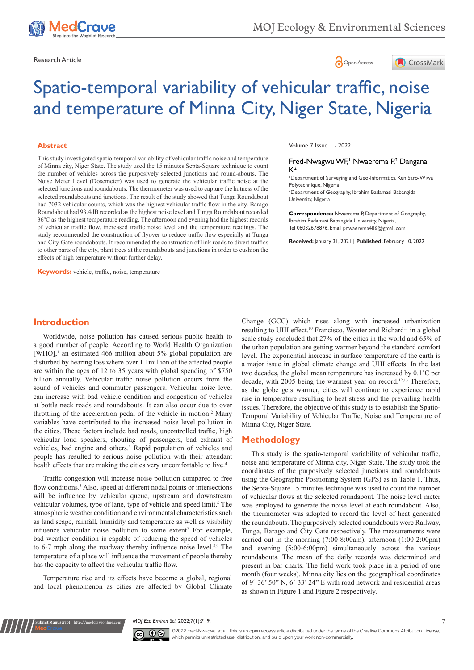

Research Article **Contracts** Contracts and Contracts Contracts Contracts Contracts Contracts Contracts Contracts Contracts Contracts Contracts Contracts Contracts Contracts Contracts Contracts Contracts Contracts Contracts





# Spatio-temporal variability of vehicular traffic, noise and temperature of Minna City, Niger State, Nigeria

#### **Abstract**

This study investigated spatio-temporal variability of vehicular traffic noise and temperature of Minna city, Niger State. The study used the 15 minutes Septa-Square technique to count the number of vehicles across the purposively selected junctions and round-abouts. The Noise Meter Level (Dosemeter) was used to generate the vehicular traffic noise at the selected junctions and roundabouts. The thermometer was used to capture the hotness of the selected roundabouts and junctions. The result of the study showed that Tunga Roundabout had 7032 vehicular counts, which was the highest vehicular traffic flow in the city. Barago Roundabout had 93.4dB recorded as the highest noise level and Tunga Roundabout recorded 360 C as the highest temperature reading. The afternoon and evening had the highest records of vehicular traffic flow, increased traffic noise level and the temperature readings. The study recommended the construction of flyover to reduce traffic flow especially at Tunga and City Gate roundabouts. It recommended the construction of link roads to divert traffics to other parts of the city, plant trees at the roundabouts and junctions in order to cushion the effects of high temperature without further delay.

**Keywords:** vehicle, traffic, noise, temperature

Volume 7 Issue 1 - 2022

#### Fred-Nwagwu WF,<sup>1</sup> Nwaerema P,<sup>2</sup> Dangana  $K<sup>2</sup>$

1 Department of Surveying and Geo-Informatics, Ken Saro-Wiwa Polytechnique, Nigeria

2 Department of Geography, Ibrahim Badamasi Babangida University, Nigeria

**Correspondence:** Nwaerema P, Department of Geography, Ibrahim Badamasi Babangida University, Nigeria, Tel 08032678876, Email pnwaerema486@gmail.com

**Received:** January 31, 2021 | **Published:** February 10, 2022

## **Introduction**

Worldwide, noise pollution has caused serious public health to a good number of people. According to World Health Organization  $[WHO]$ ,<sup>1</sup> an estimated 466 million about 5% global population are disturbed by hearing loss where over 1.1million of the affected people are within the ages of 12 to 35 years with global spending of \$750 billion annually. Vehicular traffic noise pollution occurs from the sound of vehicles and commuter passengers. Vehicular noise level can increase with bad vehicle condition and congestion of vehicles at bottle neck roads and roundabouts. It can also occur due to over throttling of the acceleration pedal of the vehicle in motion.<sup>2</sup> Many variables have contributed to the increased noise level pollution in the cities. These factors include bad roads, uncontrolled traffic, high vehicular loud speakers, shouting of passengers, bad exhaust of vehicles, bad engine and others.<sup>3</sup> Rapid population of vehicles and people has resulted to serious noise pollution with their attendant health effects that are making the cities very uncomfortable to live.<sup>4</sup>

Traffic congestion will increase noise pollution compared to free flow conditions.<sup>5</sup> Also, speed at different nodal points or intersections will be influence by vehicular queue, upstream and downstream vehicular volumes, type of lane, type of vehicle and speed limit.<sup>6</sup> The atmospheric weather condition and environmental characteristics such as land scape, rainfall, humidity and temperature as well as visibility influence vehicular noise pollution to some extent<sup>7</sup> For example, bad weather condition is capable of reducing the speed of vehicles to 6-7 mph along the roadway thereby influence noise level.<sup>8,9</sup> The temperature of a place will influence the movement of people thereby has the capacity to affect the vehicular traffic flow.

Temperature rise and its effects have become a global, regional and local phenomenon as cities are affected by Global Climate

**Kubmit Manuscript** | http://medcraveonline

Change (GCC) which rises along with increased urbanization resulting to UHI effect.<sup>10</sup> Francisco, Wouter and Richard<sup>11</sup> in a global scale study concluded that 27% of the cities in the world and 65% of the urban population are getting warmer beyond the standard comfort level. The exponential increase in surface temperature of the earth is a major issue in global climate change and UHI effects. In the last two decades, the global mean temperature has increased by 0.1˚C per decade, with 2005 being the warmest year on record.<sup>12,13</sup> Therefore, as the globe gets warmer, cities will continue to experience rapid rise in temperature resulting to heat stress and the prevailing health issues. Therefore, the objective of this study is to establish the Spatio-Temporal Variability of Vehicular Traffic, Noise and Temperature of Minna City, Niger State.

## **Methodology**

This study is the spatio-temporal variability of vehicular traffic, noise and temperature of Minna city, Niger State. The study took the coordinates of the purposively selected junctions and roundabouts using the Geographic Positioning System (GPS) as in Table 1. Thus, the Septa-Square 15 minutes technique was used to count the number of vehicular flows at the selected roundabout. The noise level meter was employed to generate the noise level at each roundabout. Also, the thermometer was adopted to record the level of heat generated the roundabouts. The purposively selected roundabouts were Railway, Tunga, Barago and City Gate respectively. The measurements were carried out in the morning (7:00-8:00am), afternoon (1:00-2:00pm) and evening (5:00-6:00pm) simultaneously across the various roundabouts. The mean of the daily records was determined and present in bar charts. The field work took place in a period of one month (four weeks). Minna city lies on the geographical coordinates of 9˚ 36' 50" N, 6˚ 33' 24" E with road network and residential areas as shown in Figure 1 and Figure 2 respectively.

*MOJ Eco Environ Sci.* 2022;7(1):7‒9. 7



©2022 Fred-Nwagwu et al. This is an open access article distributed under the terms of the [Creative Commons Attribution License](https://creativecommons.org/licenses/by-nc/4.0/), which permits unrestricted use, distribution, and build upon your work non-commercially.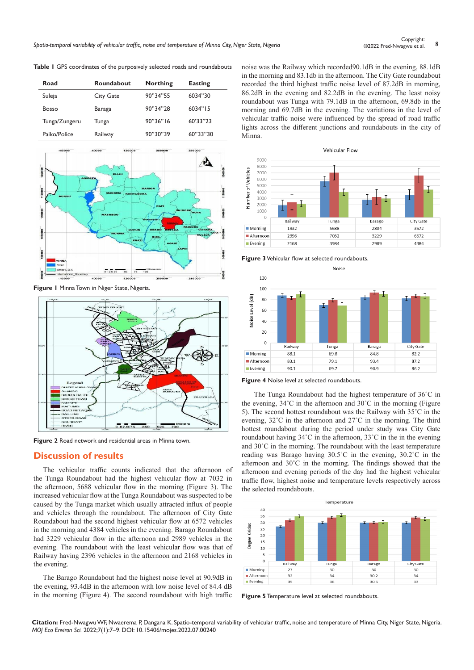| Road          | Roundabout       | <b>Northing</b> | <b>Easting</b> |
|---------------|------------------|-----------------|----------------|
| Suleja        | <b>City Gate</b> | 90"34"55        | 6034"30        |
| <b>Bosso</b>  | Baraga           | 90"34"28        | 6034"15        |
| Tunga/Zungeru | Tunga            | 90"36"16        | 60'33"23       |
| Paiko/Police  | Railway          | 90"30"39        | 60"33"30       |





**Figure 2** Road network and residential areas in Minna town.

## **Discussion of results**

The vehicular traffic counts indicated that the afternoon of the Tunga Roundabout had the highest vehicular flow at 7032 in the afternoon, 5688 vehicular flow in the morning (Figure 3). The increased vehicular flow at the Tunga Roundabout was suspected to be caused by the Tunga market which usually attracted influx of people and vehicles through the roundabout. The afternoon of City Gate Roundabout had the second highest vehicular flow at 6572 vehicles in the morning and 4384 vehicles in the evening. Barago Roundabout had 3229 vehicular flow in the afternoon and 2989 vehicles in the evening. The roundabout with the least vehicular flow was that of Railway having 2396 vehicles in the afternoon and 2168 vehicles in the evening.

The Barago Roundabout had the highest noise level at 90.9dB in the evening, 93.4dB in the afternoon with low noise level of 84.4 dB in the morning (Figure 4). The second roundabout with high traffic noise was the Railway which recorded90.1dB in the evening, 88.1dB in the morning and 83.1db in the afternoon. The City Gate roundabout recorded the third highest traffic noise level of 87.2dB in morning, 86.2dB in the evening and 82.2dB in the evening. The least noisy roundabout was Tunga with 79.1dB in the afternoon, 69.8db in the morning and 69.7dB in the evening. The variations in the level of vehicular traffic noise were influenced by the spread of road traffic lights across the different junctions and roundabouts in the city of Minna.



**Figure 3** Vehicular flow at selected roundabouts.



**Figure 4** Noise level at selected roundabouts.

The Tunga Roundabout had the highest temperature of 36˚C in the evening, 34˚C in the afternoon and 30˚C in the morning (Figure 5). The second hottest roundabout was the Railway with 35˚C in the evening, 32˚C in the afternoon and 27˚C in the morning. The third hottest roundabout during the period under study was City Gate roundabout having  $34^{\circ}$ C in the afternoon,  $33^{\circ}$ C in the in the evening and 30˚C in the morning. The roundabout with the least temperature reading was Barago having 30.5˚C in the evening, 30.2˚C in the afternoon and 30˚C in the morning. The findings showed that the afternoon and evening periods of the day had the highest vehicular traffic flow, highest noise and temperature levels respectively across the selected roundabouts.



**Figure 5** Temperature level at selected roundabouts.

**Citation:** Fred-Nwagwu WF, Nwaerema P, Dangana K. Spatio-temporal variability of vehicular traffic, noise and temperature of Minna City, Niger State, Nigeria. *MOJ Eco Environ Sci.* 2022;7(1):7‒9. DOI: [10.15406/mojes.2022.07.00240](https://doi.org/10.15406/mojes.2022.07.00240)

**Table 1** GPS coordinates of the purposively selected roads and roundabouts